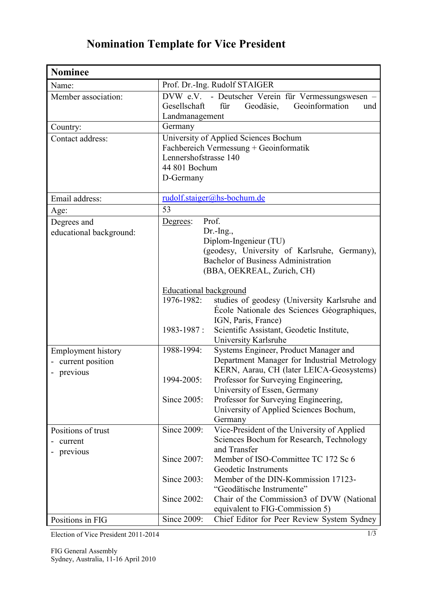## **Nomination Template for Vice President**

| <b>Nominee</b>                                              |                                                                                                                                                                                                                                                                                                                                                  |
|-------------------------------------------------------------|--------------------------------------------------------------------------------------------------------------------------------------------------------------------------------------------------------------------------------------------------------------------------------------------------------------------------------------------------|
| Name:                                                       | Prof. Dr.-Ing. Rudolf STAIGER                                                                                                                                                                                                                                                                                                                    |
| Member association:                                         | DVW e.V. - Deutscher Verein für Vermessungswesen -<br>Geodäsie, Geoinformation<br>Gesellschaft<br>für<br>und<br>Landmanagement                                                                                                                                                                                                                   |
| Country:                                                    | Germany                                                                                                                                                                                                                                                                                                                                          |
| Contact address:                                            | University of Applied Sciences Bochum<br>Fachbereich Vermessung + Geoinformatik<br>Lennershofstrasse 140<br>44 801 Bochum<br>D-Germany                                                                                                                                                                                                           |
| Email address:                                              | rudolf.staiger@hs-bochum.de                                                                                                                                                                                                                                                                                                                      |
| Age:                                                        | 53                                                                                                                                                                                                                                                                                                                                               |
| Degrees and<br>educational background:                      | Prof.<br>Degrees:<br>Dr.-Ing.,<br>Diplom-Ingenieur (TU)<br>(geodesy, University of Karlsruhe, Germany),<br><b>Bachelor of Business Administration</b><br>(BBA, OEKREAL, Zurich, CH)                                                                                                                                                              |
|                                                             | <b>Educational background</b><br>1976-1982:<br>studies of geodesy (University Karlsruhe and<br>École Nationale des Sciences Géographiques,<br>IGN, Paris, France)<br>1983-1987:<br>Scientific Assistant, Geodetic Institute,<br>University Karlsruhe                                                                                             |
| <b>Employment history</b><br>current position<br>- previous | 1988-1994:<br>Systems Engineer, Product Manager and<br>Department Manager for Industrial Metrology<br>KERN, Aarau, CH (later LEICA-Geosystems)<br>1994-2005:<br>Professor for Surveying Engineering,<br>University of Essen, Germany<br>Since 2005:<br>Professor for Surveying Engineering,<br>University of Applied Sciences Bochum,<br>Germany |
| Positions of trust<br>current<br>previous                   | Since 2009:<br>Vice-President of the University of Applied<br>Sciences Bochum for Research, Technology<br>and Transfer                                                                                                                                                                                                                           |
|                                                             | Since 2007:<br>Member of ISO-Committee TC 172 Sc 6<br>Geodetic Instruments<br>Since 2003:<br>Member of the DIN-Kommission 17123-<br>"Geodätische Instrumente"                                                                                                                                                                                    |
| Positions in FIG                                            | Since 2002:<br>Chair of the Commission3 of DVW (National<br>equivalent to FIG-Commission 5)<br>Since 2009:<br>Chief Editor for Peer Review System Sydney                                                                                                                                                                                         |

Election of Vice President 2011-2014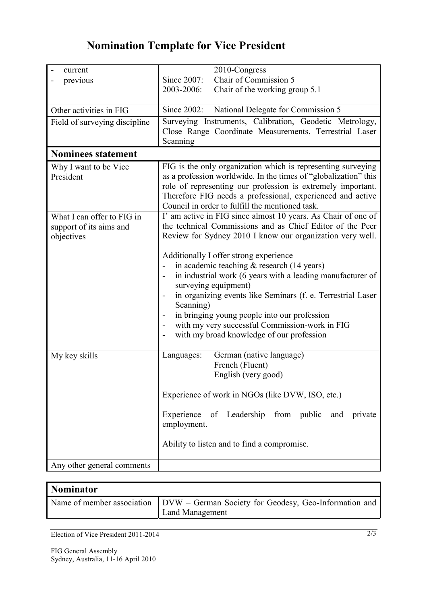## **Nomination Template for Vice President**

| current                                                             | 2010-Congress                                                                                                                                                                                                                                                                                                                                                                                                                                                                                                                                                                                                                    |
|---------------------------------------------------------------------|----------------------------------------------------------------------------------------------------------------------------------------------------------------------------------------------------------------------------------------------------------------------------------------------------------------------------------------------------------------------------------------------------------------------------------------------------------------------------------------------------------------------------------------------------------------------------------------------------------------------------------|
| previous                                                            | Chair of Commission 5<br>Since 2007:                                                                                                                                                                                                                                                                                                                                                                                                                                                                                                                                                                                             |
|                                                                     | 2003-2006:<br>Chair of the working group 5.1                                                                                                                                                                                                                                                                                                                                                                                                                                                                                                                                                                                     |
| Other activities in FIG                                             | Since 2002:<br>National Delegate for Commission 5                                                                                                                                                                                                                                                                                                                                                                                                                                                                                                                                                                                |
| Field of surveying discipline                                       | Surveying Instruments, Calibration, Geodetic Metrology,<br>Close Range Coordinate Measurements, Terrestrial Laser<br>Scanning                                                                                                                                                                                                                                                                                                                                                                                                                                                                                                    |
| <b>Nominees statement</b>                                           |                                                                                                                                                                                                                                                                                                                                                                                                                                                                                                                                                                                                                                  |
| Why I want to be Vice<br>President                                  | FIG is the only organization which is representing surveying<br>as a profession worldwide. In the times of "globalization" this<br>role of representing our profession is extremely important.<br>Therefore FIG needs a professional, experienced and active<br>Council in order to fulfill the mentioned task.                                                                                                                                                                                                                                                                                                                  |
| What I can offer to FIG in<br>support of its aims and<br>objectives | I' am active in FIG since almost 10 years. As Chair of one of<br>the technical Commissions and as Chief Editor of the Peer<br>Review for Sydney 2010 I know our organization very well.<br>Additionally I offer strong experience<br>in academic teaching & research (14 years)<br>in industrial work (6 years with a leading manufacturer of<br>surveying equipment)<br>in organizing events like Seminars (f. e. Terrestrial Laser<br>$\qquad \qquad \blacksquare$<br>Scanning)<br>in bringing young people into our profession<br>with my very successful Commission-work in FIG<br>with my broad knowledge of our profession |
| My key skills                                                       | German (native language)<br>Languages:<br>French (Fluent)<br>English (very good)<br>Experience of work in NGOs (like DVW, ISO, etc.)<br>Experience of Leadership from public<br>and<br>private<br>employment.<br>Ability to listen and to find a compromise.                                                                                                                                                                                                                                                                                                                                                                     |
| Any other general comments                                          |                                                                                                                                                                                                                                                                                                                                                                                                                                                                                                                                                                                                                                  |

| <b>Nominator</b> |                                                                                                       |
|------------------|-------------------------------------------------------------------------------------------------------|
|                  | Name of member association   DVW – German Society for Geodesy, Geo-Information and<br>Land Management |

Election of Vice President 2011-2014